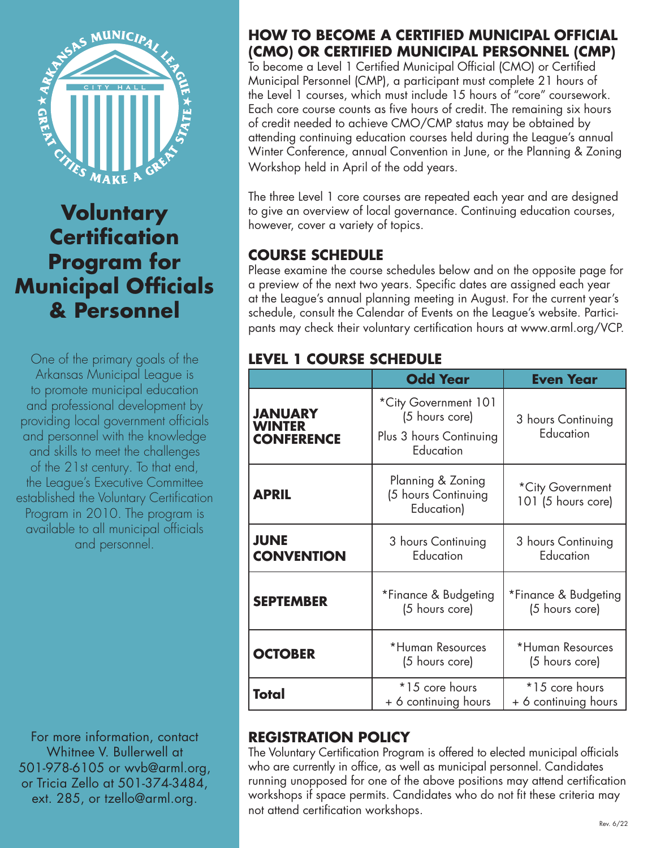

**Voluntary Certification Program for Municipal Officials & Personnel**

One of the primary goals of the Arkansas Municipal League is to promote municipal education and professional development by providing local government officials and personnel with the knowledge and skills to meet the challenges of the 21st century. To that end, the League's Executive Committee established the Voluntary Certification Program in 2010. The program is available to all municipal officials and personnel.

For more information, contact Whitnee V. Bullerwell at 501-978-6105 or wvb@arml.org, or Tricia Zello at 501-374-3484, ext. 285, or tzello@arml.org.

#### **HOW TO BECOME A CERTIFIED MUNICIPAL OFFICIAL (CMO) OR CERTIFIED MUNICIPAL PERSONNEL (CMP)**

To become a Level 1 Certified Municipal Official (CMO) or Certified Municipal Personnel (CMP), a participant must complete 21 hours of the Level 1 courses, which must include 15 hours of "core" coursework. Each core course counts as five hours of credit. The remaining six hours of credit needed to achieve CMO/CMP status may be obtained by attending continuing education courses held during the League's annual Winter Conference, annual Convention in June, or the Planning & Zoning Workshop held in April of the odd years.

The three Level 1 core courses are repeated each year and are designed to give an overview of local governance. Continuing education courses, however, cover a variety of topics.

## **COURSE SCHEDULE**

Please examine the course schedules below and on the opposite page for a preview of the next two years. Specific dates are assigned each year at the League's annual planning meeting in August. For the current year's schedule, consult the Calendar of Events on the League's website. Participants may check their voluntary certification hours at www.arml.org/VCP.

#### **LEVEL 1 COURSE SCHEDULE**

|                                                      | <b>Odd Year</b>                                                                                  | <b>Even Year</b>                       |
|------------------------------------------------------|--------------------------------------------------------------------------------------------------|----------------------------------------|
| <b>JANUARY</b><br><b>WINTER</b><br><b>CONFERENCE</b> | *City Government 101<br>(5 hours core)<br>Plus 3 hours Continuing<br>Education                   | 3 hours Continuing<br>Education        |
| <b>APRIL</b>                                         | Planning & Zoning<br>*City Government<br>(5 hours Continuing<br>101 (5 hours core)<br>Education) |                                        |
| <b>JUNE</b><br><b>CONVENTION</b>                     | 3 hours Continuing<br>Education                                                                  | 3 hours Continuing<br>Education        |
| <b>SEPTEMBER</b>                                     | *Finance & Budgeting<br>(5 hours core)                                                           | *Finance & Budgeting<br>(5 hours core) |
| <b>OCTOBER</b>                                       | *Human Resources<br>(5 hours core)                                                               | *Human Resources<br>(5 hours core)     |
| Total                                                | *15 core hours<br>+ 6 continuing hours                                                           | *15 core hours<br>+ 6 continuing hours |

## **REGISTRATION POLICY**

The Voluntary Certification Program is offered to elected municipal officials who are currently in office, as well as municipal personnel. Candidates running unopposed for one of the above positions may attend certification workshops if space permits. Candidates who do not fit these criteria may not attend certification workshops.